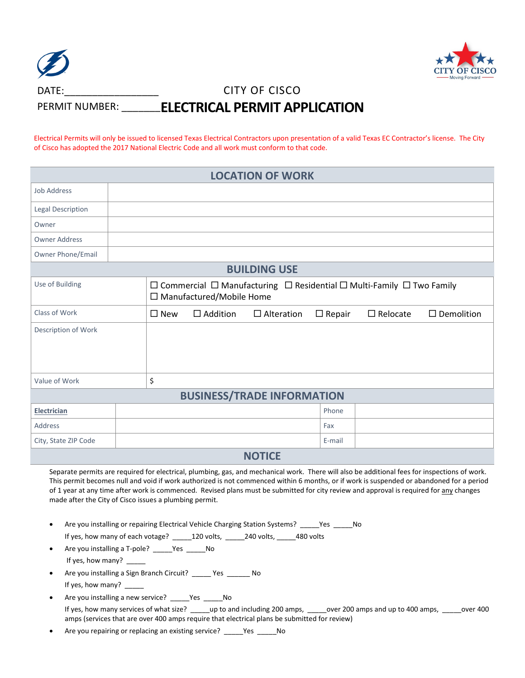| $\bigcirc$     |                                       |
|----------------|---------------------------------------|
| DATE:          | CITY OF CISCO                         |
| PERMIT NUMBER: | <b>_ELECTRICAL PERMIT APPLICATION</b> |

Electrical Permits will only be issued to licensed Texas Electrical Contractors upon presentation of a valid Texas EC Contractor's license. The City of Cisco has adopted the 2017 National Electric Code and all work must conform to that code.

| <b>LOCATION OF WORK</b>           |                                                                                                                               |               |                 |                   |               |                 |                      |
|-----------------------------------|-------------------------------------------------------------------------------------------------------------------------------|---------------|-----------------|-------------------|---------------|-----------------|----------------------|
| <b>Job Address</b>                |                                                                                                                               |               |                 |                   |               |                 |                      |
| <b>Legal Description</b>          |                                                                                                                               |               |                 |                   |               |                 |                      |
| Owner                             |                                                                                                                               |               |                 |                   |               |                 |                      |
| <b>Owner Address</b>              |                                                                                                                               |               |                 |                   |               |                 |                      |
| Owner Phone/Email                 |                                                                                                                               |               |                 |                   |               |                 |                      |
| <b>BUILDING USE</b>               |                                                                                                                               |               |                 |                   |               |                 |                      |
| Use of Building                   | $\Box$ Commercial $\Box$ Manufacturing $\Box$ Residential $\Box$ Multi-Family $\Box$ Two Family<br>□ Manufactured/Mobile Home |               |                 |                   |               |                 |                      |
| Class of Work                     |                                                                                                                               | $\square$ New | $\Box$ Addition | $\Box$ Alteration | $\Box$ Repair | $\Box$ Relocate | $\square$ Demolition |
| Description of Work               |                                                                                                                               |               |                 |                   |               |                 |                      |
| Value of Work                     |                                                                                                                               | \$            |                 |                   |               |                 |                      |
| <b>BUSINESS/TRADE INFORMATION</b> |                                                                                                                               |               |                 |                   |               |                 |                      |
| Electrician                       |                                                                                                                               |               |                 |                   | Phone         |                 |                      |
| Address                           |                                                                                                                               |               |                 |                   | Fax           |                 |                      |
| City, State ZIP Code              |                                                                                                                               |               |                 |                   | E-mail        |                 |                      |
| <b>NIOTICE</b>                    |                                                                                                                               |               |                 |                   |               |                 |                      |

**NOTICE**

Separate permits are required for electrical, plumbing, gas, and mechanical work. There will also be additional fees for inspections of work. This permit becomes null and void if work authorized is not commenced within 6 months, or if work is suspended or abandoned for a period of 1 year at any time after work is commenced. Revised plans must be submitted for city review and approval is required for any changes made after the City of Cisco issues a plumbing permit.

- Are you installing or repairing Electrical Vehicle Charging Station Systems? Yes No If yes, how many of each votage? \_\_\_\_\_120 volts, \_\_\_\_\_240 volts, \_\_\_\_\_480 volts
- Are you installing a T-pole? Yes No If yes, how many? \_\_\_\_\_
- Are you installing a Sign Branch Circuit? \_\_\_\_\_ Yes \_\_\_\_\_\_ No If yes, how many?
- Are you installing a new service? \_\_\_\_\_Yes \_\_\_\_\_No

If yes, how many services of what size? \_\_\_\_\_up to and including 200 amps, \_\_\_\_\_over 200 amps and up to 400 amps, \_\_\_\_\_over 400 amps (services that are over 400 amps require that electrical plans be submitted for review)

Are you repairing or replacing an existing service? \_\_\_\_\_Yes \_\_\_\_\_No